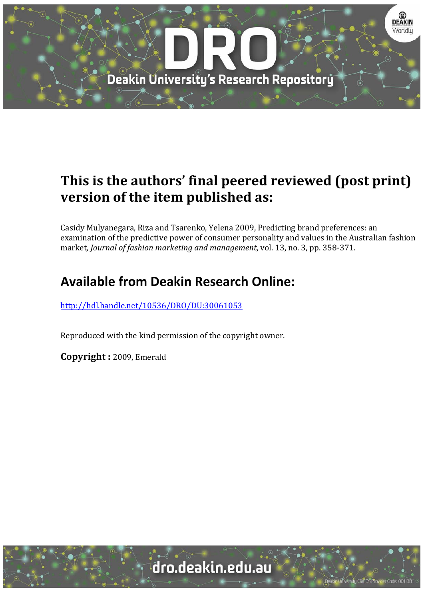

# **This is the authors' final peered reviewed (post print) version of the item published as:**

Casidy Mulyanegara, Riza and Tsarenko, Yelena 2009, Predicting brand preferences: an examination of the predictive power of consumer personality and values in the Australian fashion market*, Journal of fashion marketing and management*, vol. 13, no. 3, pp. 358‐371. 

# **Available from Deakin Research Online:**

http://hdl.handle.net/10536/DRO/DU:30061053

Reproduced with the kind permission of the copyright owner.

**Copyright :** 2009, Emerald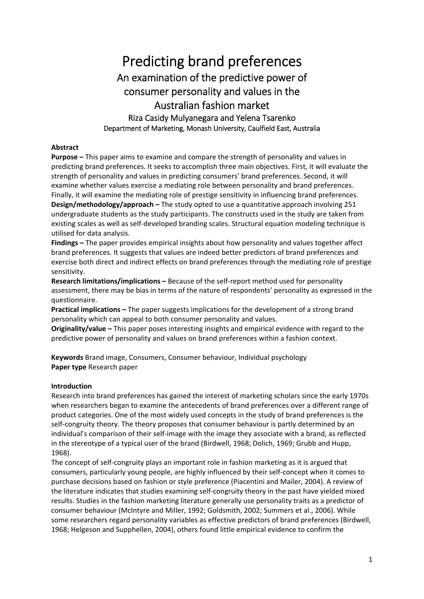# Predicting brand preferences An examination of the predictive power of consumer personality and values in the Australian fashion market Riza Casidy Mulyanegara and Yelena Tsarenko Department of Marketing, Monash University, Caulfield East, Australia

# **Abstract**

**Purpose –** This paper aims to examine and compare the strength of personality and values in predicting brand preferences. It seeks to accomplish three main objectives. First, it will evaluate the strength of personality and values in predicting consumers' brand preferences. Second, it will examine whether values exercise a mediating role between personality and brand preferences. Finally, it will examine the mediating role of prestige sensitivity in influencing brand preferences. **Design/methodology/approach –** The study opted to use a quantitative approach involving 251 undergraduate students as the study participants. The constructs used in the study are taken from existing scales as well as self‐developed branding scales. Structural equation modeling technique is utilised for data analysis.

**Findings –** The paper provides empirical insights about how personality and values together affect brand preferences. It suggests that values are indeed better predictors of brand preferences and exercise both direct and indirect effects on brand preferences through the mediating role of prestige sensitivity.

**Research limitations/implications –** Because of the self‐report method used for personality assessment, there may be bias in terms of the nature of respondents' personality as expressed in the questionnaire.

**Practical implications –** The paper suggests implications for the development of a strong brand personality which can appeal to both consumer personality and values.

**Originality/value –** This paper poses interesting insights and empirical evidence with regard to the predictive power of personality and values on brand preferences within a fashion context.

**Keywords** Brand image, Consumers, Consumer behaviour, Individual psychology **Paper type** Research paper

# **Introduction**

Research into brand preferences has gained the interest of marketing scholars since the early 1970s when researchers began to examine the antecedents of brand preferences over a different range of product categories. One of the most widely used concepts in the study of brand preferences is the self-congruity theory. The theory proposes that consumer behaviour is partly determined by an individual's comparison of their self-image with the image they associate with a brand, as reflected in the stereotype of a typical user of the brand (Birdwell, 1968; Dolich, 1969; Grubb and Hupp, 1968).

The concept of self-congruity plays an important role in fashion marketing as it is argued that consumers, particularly young people, are highly influenced by their self‐concept when it comes to purchase decisions based on fashion or style preference (Piacentini and Mailer, 2004). A review of the literature indicates that studies examining self‐congruity theory in the past have yielded mixed results. Studies in the fashion marketing literature generally use personality traits as a predictor of consumer behaviour (McIntyre and Miller, 1992; Goldsmith, 2002; Summers et al., 2006). While some researchers regard personality variables as effective predictors of brand preferences (Birdwell, 1968; Helgeson and Supphellen, 2004), others found little empirical evidence to confirm the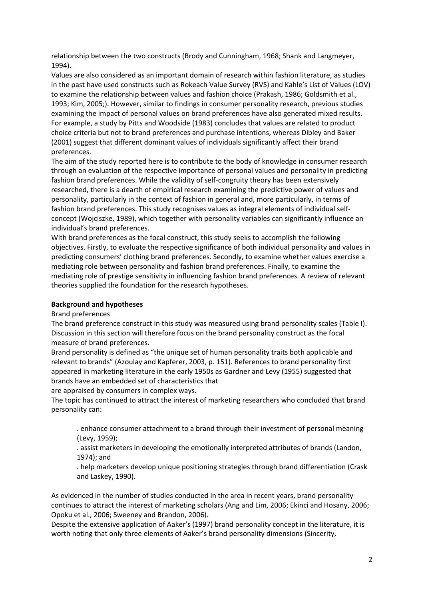relationship between the two constructs (Brody and Cunningham, 1968; Shank and Langmeyer, 1994).

Values are also considered as an important domain of research within fashion literature, as studies in the past have used constructs such as Rokeach Value Survey (RVS) and Kahle's List of Values (LOV) to examine the relationship between values and fashion choice (Prakash, 1986; Goldsmith et al., 1993; Kim, 2005;). However, similar to findings in consumer personality research, previous studies examining the impact of personal values on brand preferences have also generated mixed results. For example, a study by Pitts and Woodside (1983) concludes that values are related to product choice criteria but not to brand preferences and purchase intentions, whereas Dibley and Baker (2001) suggest that different dominant values of individuals significantly affect their brand preferences.

The aim of the study reported here is to contribute to the body of knowledge in consumer research through an evaluation of the respective importance of personal values and personality in predicting fashion brand preferences. While the validity of self-congruity theory has been extensively researched, there is a dearth of empirical research examining the predictive power of values and personality, particularly in the context of fashion in general and, more particularly, in terms of fashion brand preferences. This study recognises values as integral elements of individual self‐ concept (Wojciszke, 1989), which together with personality variables can significantly influence an individual's brand preferences.

With brand preferences as the focal construct, this study seeks to accomplish the following objectives. Firstly, to evaluate the respective significance of both individual personality and values in predicting consumers' clothing brand preferences. Secondly, to examine whether values exercise a mediating role between personality and fashion brand preferences. Finally, to examine the mediating role of prestige sensitivity in influencing fashion brand preferences. A review of relevant theories supplied the foundation for the research hypotheses.

# **Background and hypotheses**

Brand preferences

The brand preference construct in this study was measured using brand personality scales (Table I). Discussion in this section will therefore focus on the brand personality construct as the focal measure of brand preferences.

Brand personality is defined as "the unique set of human personality traits both applicable and relevant to brands" (Azoulay and Kapferer, 2003, p. 151). References to brand personality first appeared in marketing literature in the early 1950s as Gardner and Levy (1955) suggested that brands have an embedded set of characteristics that

are appraised by consumers in complex ways.

The topic has continued to attract the interest of marketing researchers who concluded that brand personality can:

. enhance consumer attachment to a brand through their investment of personal meaning (Levy, 1959);

. assist marketers in developing the emotionally interpreted attributes of brands (Landon, 1974); and

. help marketers develop unique positioning strategies through brand differentiation (Crask and Laskey, 1990).

As evidenced in the number of studies conducted in the area in recent years, brand personality continues to attract the interest of marketing scholars (Ang and Lim, 2006; Ekinci and Hosany, 2006; Opoku et al., 2006; Sweeney and Brandon, 2006).

Despite the extensive application of Aaker's (1997) brand personality concept in the literature, it is worth noting that only three elements of Aaker's brand personality dimensions (Sincerity,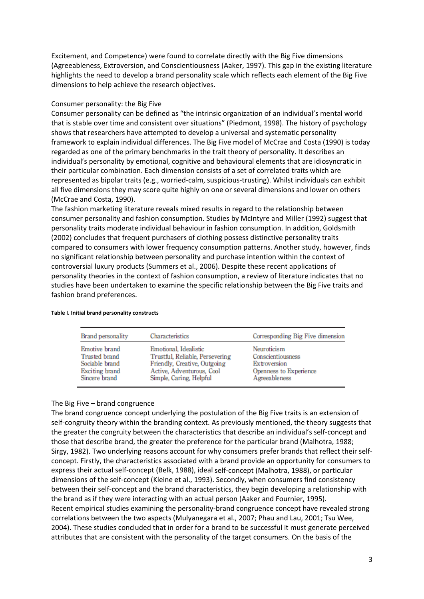Excitement, and Competence) were found to correlate directly with the Big Five dimensions (Agreeableness, Extroversion, and Conscientiousness (Aaker, 1997). This gap in the existing literature highlights the need to develop a brand personality scale which reflects each element of the Big Five dimensions to help achieve the research objectives.

## Consumer personality: the Big Five

Consumer personality can be defined as "the intrinsic organization of an individual's mental world that is stable over time and consistent over situations" (Piedmont, 1998). The history of psychology shows that researchers have attempted to develop a universal and systematic personality framework to explain individual differences. The Big Five model of McCrae and Costa (1990) is today regarded as one of the primary benchmarks in the trait theory of personality. It describes an individual's personality by emotional, cognitive and behavioural elements that are idiosyncratic in their particular combination. Each dimension consists of a set of correlated traits which are represented as bipolar traits (e.g., worried‐calm, suspicious‐trusting). Whilst individuals can exhibit all five dimensions they may score quite highly on one or several dimensions and lower on others (McCrae and Costa, 1990).

The fashion marketing literature reveals mixed results in regard to the relationship between consumer personality and fashion consumption. Studies by McIntyre and Miller (1992) suggest that personality traits moderate individual behaviour in fashion consumption. In addition, Goldsmith (2002) concludes that frequent purchasers of clothing possess distinctive personality traits compared to consumers with lower frequency consumption patterns. Another study, however, finds no significant relationship between personality and purchase intention within the context of controversial luxury products (Summers et al., 2006). Despite these recent applications of personality theories in the context of fashion consumption, a review of literature indicates that no studies have been undertaken to examine the specific relationship between the Big Five traits and fashion brand preferences.

| Brand personality | Characteristics                 | Corresponding Big Five dimension |  |
|-------------------|---------------------------------|----------------------------------|--|
| Emotive brand     | Emotional, Idealistic           | Neuroticism                      |  |
| Trusted brand     | Trustful, Reliable, Persevering | Conscientiousness                |  |
| Sociable brand    | Friendly, Creative, Outgoing    | Extroversion                     |  |
| Exciting brand    | Active, Adventurous, Cool       | Openness to Experience           |  |
| Sincere brand     | Simple, Caring, Helpful         | Agreeableness                    |  |

#### **Table I. Initial brand personality constructs**

### The Big Five – brand congruence

Ĭ.

The brand congruence concept underlying the postulation of the Big Five traits is an extension of self-congruity theory within the branding context. As previously mentioned, the theory suggests that the greater the congruity between the characteristics that describe an individual's self‐concept and those that describe brand, the greater the preference for the particular brand (Malhotra, 1988; Sirgy, 1982). Two underlying reasons account for why consumers prefer brands that reflect their self‐ concept. Firstly, the characteristics associated with a brand provide an opportunity for consumers to express their actual self‐concept (Belk, 1988), ideal self‐concept (Malhotra, 1988), or particular dimensions of the self‐concept (Kleine et al., 1993). Secondly, when consumers find consistency between their self-concept and the brand characteristics, they begin developing a relationship with the brand as if they were interacting with an actual person (Aaker and Fournier, 1995). Recent empirical studies examining the personality-brand congruence concept have revealed strong correlations between the two aspects (Mulyanegara et al., 2007; Phau and Lau, 2001; Tsu Wee, 2004). These studies concluded that in order for a brand to be successful it must generate perceived attributes that are consistent with the personality of the target consumers. On the basis of the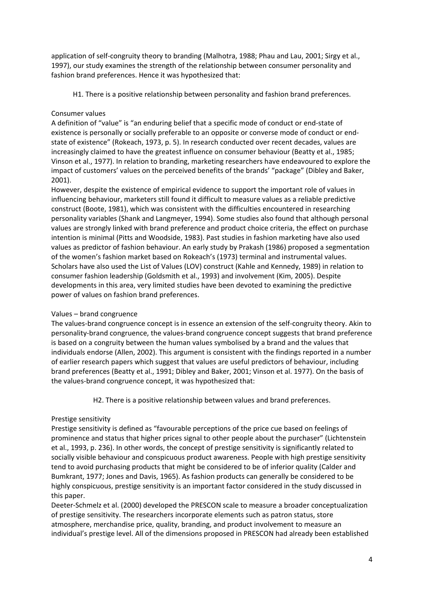application of self‐congruity theory to branding (Malhotra, 1988; Phau and Lau, 2001; Sirgy et al., 1997), our study examines the strength of the relationship between consumer personality and fashion brand preferences. Hence it was hypothesized that:

H1. There is a positive relationship between personality and fashion brand preferences.

# Consumer values

A definition of "value" is "an enduring belief that a specific mode of conduct or end‐state of existence is personally or socially preferable to an opposite or converse mode of conduct or end‐ state of existence" (Rokeach, 1973, p. 5). In research conducted over recent decades, values are increasingly claimed to have the greatest influence on consumer behaviour (Beatty et al., 1985; Vinson et al., 1977). In relation to branding, marketing researchers have endeavoured to explore the impact of customers' values on the perceived benefits of the brands' "package" (Dibley and Baker, 2001).

However, despite the existence of empirical evidence to support the important role of values in influencing behaviour, marketers still found it difficult to measure values as a reliable predictive construct (Boote, 1981), which was consistent with the difficulties encountered in researching personality variables (Shank and Langmeyer, 1994). Some studies also found that although personal values are strongly linked with brand preference and product choice criteria, the effect on purchase intention is minimal (Pitts and Woodside, 1983). Past studies in fashion marketing have also used values as predictor of fashion behaviour. An early study by Prakash (1986) proposed a segmentation of the women's fashion market based on Rokeach's (1973) terminal and instrumental values. Scholars have also used the List of Values (LOV) construct (Kahle and Kennedy, 1989) in relation to consumer fashion leadership (Goldsmith et al., 1993) and involvement (Kim, 2005). Despite developments in this area, very limited studies have been devoted to examining the predictive power of values on fashion brand preferences.

# Values – brand congruence

The values‐brand congruence concept is in essence an extension of the self‐congruity theory. Akin to personality‐brand congruence, the values‐brand congruence concept suggests that brand preference is based on a congruity between the human values symbolised by a brand and the values that individuals endorse (Allen, 2002). This argument is consistent with the findings reported in a number of earlier research papers which suggest that values are useful predictors of behaviour, including brand preferences (Beatty et al., 1991; Dibley and Baker, 2001; Vinson et al. 1977). On the basis of the values‐brand congruence concept, it was hypothesized that:

H2. There is a positive relationship between values and brand preferences.

# Prestige sensitivity

Prestige sensitivity is defined as "favourable perceptions of the price cue based on feelings of prominence and status that higher prices signal to other people about the purchaser" (Lichtenstein et al., 1993, p. 236). In other words, the concept of prestige sensitivity is significantly related to socially visible behaviour and conspicuous product awareness. People with high prestige sensitivity tend to avoid purchasing products that might be considered to be of inferior quality (Calder and Bumkrant, 1977; Jones and Davis, 1965). As fashion products can generally be considered to be highly conspicuous, prestige sensitivity is an important factor considered in the study discussed in this paper.

Deeter‐Schmelz et al. (2000) developed the PRESCON scale to measure a broader conceptualization of prestige sensitivity. The researchers incorporate elements such as patron status, store atmosphere, merchandise price, quality, branding, and product involvement to measure an individual's prestige level. All of the dimensions proposed in PRESCON had already been established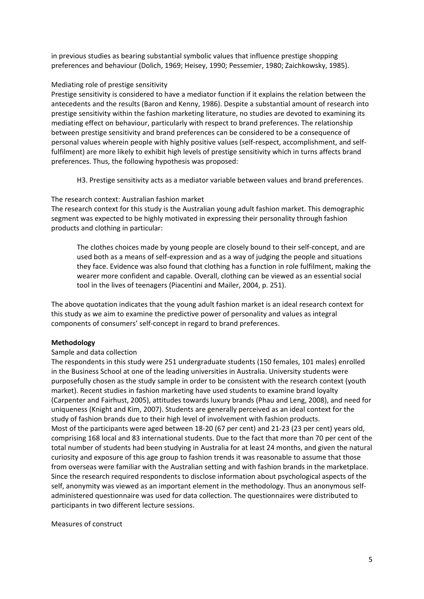in previous studies as bearing substantial symbolic values that influence prestige shopping preferences and behaviour (Dolich, 1969; Heisey, 1990; Pessemier, 1980; Zaichkowsky, 1985).

# Mediating role of prestige sensitivity

Prestige sensitivity is considered to have a mediator function if it explains the relation between the antecedents and the results (Baron and Kenny, 1986). Despite a substantial amount of research into prestige sensitivity within the fashion marketing literature, no studies are devoted to examining its mediating effect on behaviour, particularly with respect to brand preferences. The relationship between prestige sensitivity and brand preferences can be considered to be a consequence of personal values wherein people with highly positive values (self‐respect, accomplishment, and self‐ fulfilment) are more likely to exhibit high levels of prestige sensitivity which in turns affects brand preferences. Thus, the following hypothesis was proposed:

H3. Prestige sensitivity acts as a mediator variable between values and brand preferences.

### The research context: Australian fashion market

The research context for this study is the Australian young adult fashion market. This demographic segment was expected to be highly motivated in expressing their personality through fashion products and clothing in particular:

The clothes choices made by young people are closely bound to their self‐concept, and are used both as a means of self‐expression and as a way of judging the people and situations they face. Evidence was also found that clothing has a function in role fulfilment, making the wearer more confident and capable. Overall, clothing can be viewed as an essential social tool in the lives of teenagers (Piacentini and Mailer, 2004, p. 251).

The above quotation indicates that the young adult fashion market is an ideal research context for this study as we aim to examine the predictive power of personality and values as integral components of consumers' self‐concept in regard to brand preferences.

#### **Methodology**

# Sample and data collection

The respondents in this study were 251 undergraduate students (150 females, 101 males) enrolled in the Business School at one of the leading universities in Australia. University students were purposefully chosen as the study sample in order to be consistent with the research context (youth market). Recent studies in fashion marketing have used students to examine brand loyalty (Carpenter and Fairhust, 2005), attitudes towards luxury brands (Phau and Leng, 2008), and need for uniqueness (Knight and Kim, 2007). Students are generally perceived as an ideal context for the study of fashion brands due to their high level of involvement with fashion products. Most of the participants were aged between 18‐20 (67 per cent) and 21‐23 (23 per cent) years old, comprising 168 local and 83 international students. Due to the fact that more than 70 per cent of the total number of students had been studying in Australia for at least 24 months, and given the natural curiosity and exposure of this age group to fashion trends it was reasonable to assume that those from overseas were familiar with the Australian setting and with fashion brands in the marketplace. Since the research required respondents to disclose information about psychological aspects of the self, anonymity was viewed as an important element in the methodology. Thus an anonymous selfadministered questionnaire was used for data collection. The questionnaires were distributed to participants in two different lecture sessions.

#### Measures of construct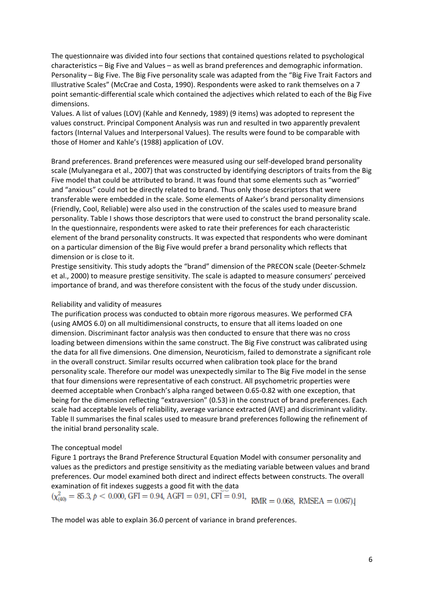The questionnaire was divided into four sections that contained questions related to psychological characteristics – Big Five and Values – as well as brand preferences and demographic information. Personality – Big Five. The Big Five personality scale was adapted from the "Big Five Trait Factors and Illustrative Scales" (McCrae and Costa, 1990). Respondents were asked to rank themselves on a 7 point semantic‐differential scale which contained the adjectives which related to each of the Big Five dimensions.

Values. A list of values (LOV) (Kahle and Kennedy, 1989) (9 items) was adopted to represent the values construct. Principal Component Analysis was run and resulted in two apparently prevalent factors (Internal Values and Interpersonal Values). The results were found to be comparable with those of Homer and Kahle's (1988) application of LOV.

Brand preferences. Brand preferences were measured using our self‐developed brand personality scale (Mulyanegara et al., 2007) that was constructed by identifying descriptors of traits from the Big Five model that could be attributed to brand. It was found that some elements such as "worried" and "anxious" could not be directly related to brand. Thus only those descriptors that were transferable were embedded in the scale. Some elements of Aaker's brand personality dimensions (Friendly, Cool, Reliable) were also used in the construction of the scales used to measure brand personality. Table I shows those descriptors that were used to construct the brand personality scale. In the questionnaire, respondents were asked to rate their preferences for each characteristic element of the brand personality constructs. It was expected that respondents who were dominant on a particular dimension of the Big Five would prefer a brand personality which reflects that dimension or is close to it.

Prestige sensitivity. This study adopts the "brand" dimension of the PRECON scale (Deeter‐Schmelz et al., 2000) to measure prestige sensitivity. The scale is adapted to measure consumers' perceived importance of brand, and was therefore consistent with the focus of the study under discussion.

# Reliability and validity of measures

The purification process was conducted to obtain more rigorous measures. We performed CFA (using AMOS 6.0) on all multidimensional constructs, to ensure that all items loaded on one dimension. Discriminant factor analysis was then conducted to ensure that there was no cross loading between dimensions within the same construct. The Big Five construct was calibrated using the data for all five dimensions. One dimension, Neuroticism, failed to demonstrate a significant role in the overall construct. Similar results occurred when calibration took place for the brand personality scale. Therefore our model was unexpectedly similar to The Big Five model in the sense that four dimensions were representative of each construct. All psychometric properties were deemed acceptable when Cronbach's alpha ranged between 0.65‐0.82 with one exception, that being for the dimension reflecting "extraversion" (0.53) in the construct of brand preferences. Each scale had acceptable levels of reliability, average variance extracted (AVE) and discriminant validity. Table II summarises the final scales used to measure brand preferences following the refinement of the initial brand personality scale.

#### The conceptual model

Figure 1 portrays the Brand Preference Structural Equation Model with consumer personality and values as the predictors and prestige sensitivity as the mediating variable between values and brand preferences. Our model examined both direct and indirect effects between constructs. The overall examination of fit indexes suggests a good fit with the data

 $(\chi^2_{(40)} = 85.3, p < 0.000, \text{GFI} = 0.94, \text{AGFI} = 0.91, \text{CFI} = 0.91, \text{RMR} = 0.068, \text{RMSEA} = 0.067).$ 

The model was able to explain 36.0 percent of variance in brand preferences.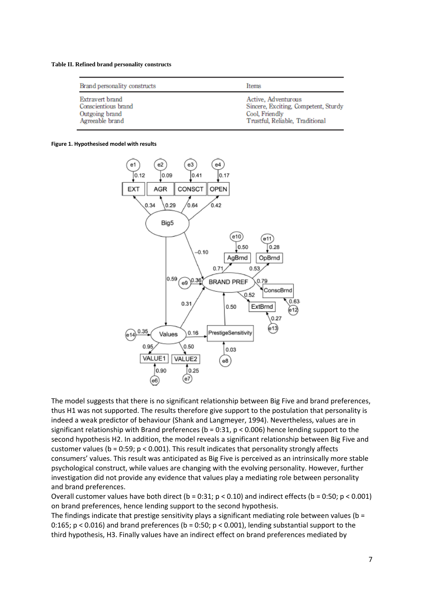**Table II. Refined brand personality constructs** 

| Brand personality constructs | <b>Items</b>                         |
|------------------------------|--------------------------------------|
| Extravert brand              | Active, Adventurous                  |
| Conscientious brand          | Sincere, Exciting, Competent, Sturdy |
| Outgoing brand               | Cool, Friendly                       |
| Agreeable brand              | Trustful, Reliable, Traditional      |

#### **Figure 1. Hypothesised model with results**



The model suggests that there is no significant relationship between Big Five and brand preferences, thus H1 was not supported. The results therefore give support to the postulation that personality is indeed a weak predictor of behaviour (Shank and Langmeyer, 1994). Nevertheless, values are in significant relationship with Brand preferences (b = 0:31, p < 0.006) hence lending support to the second hypothesis H2. In addition, the model reveals a significant relationship between Big Five and customer values ( $b = 0.59$ ;  $p < 0.001$ ). This result indicates that personality strongly affects consumers' values. This result was anticipated as Big Five is perceived as an intrinsically more stable psychological construct, while values are changing with the evolving personality. However, further investigation did not provide any evidence that values play a mediating role between personality and brand preferences.

Overall customer values have both direct ( $b = 0.31$ ;  $p < 0.10$ ) and indirect effects ( $b = 0.50$ ;  $p < 0.001$ ) on brand preferences, hence lending support to the second hypothesis.

The findings indicate that prestige sensitivity plays a significant mediating role between values ( $b =$ 0:165;  $p < 0.016$ ) and brand preferences (b = 0:50;  $p < 0.001$ ), lending substantial support to the third hypothesis, H3. Finally values have an indirect effect on brand preferences mediated by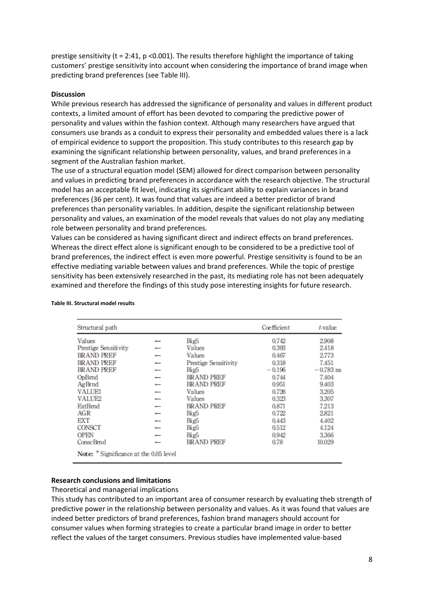prestige sensitivity (t = 2:41, p <0.001). The results therefore highlight the importance of taking customers' prestige sensitivity into account when considering the importance of brand image when predicting brand preferences (see Table III).

# **Discussion**

While previous research has addressed the significance of personality and values in different product contexts, a limited amount of effort has been devoted to comparing the predictive power of personality and values within the fashion context. Although many researchers have argued that consumers use brands as a conduit to express their personality and embedded values there is a lack of empirical evidence to support the proposition. This study contributes to this research gap by examining the significant relationship between personality, values, and brand preferences in a segment of the Australian fashion market.

The use of a structural equation model (SEM) allowed for direct comparison between personality and values in predicting brand preferences in accordance with the research objective. The structural model has an acceptable fit level, indicating its significant ability to explain variances in brand preferences (36 per cent). It was found that values are indeed a better predictor of brand preferences than personality variables. In addition, despite the significant relationship between personality and values, an examination of the model reveals that values do not play any mediating role between personality and brand preferences.

Values can be considered as having significant direct and indirect effects on brand preferences. Whereas the direct effect alone is significant enough to be considered to be a predictive tool of brand preferences, the indirect effect is even more powerful. Prestige sensitivity is found to be an effective mediating variable between values and brand preferences. While the topic of prestige sensitivity has been extensively researched in the past, its mediating role has not been adequately examined and therefore the findings of this study pose interesting insights for future research.

| Structural path      |          | Coefficient                 | $t$ -value |             |
|----------------------|----------|-----------------------------|------------|-------------|
| Values               |          | Big5                        | 0.742      | 2.908       |
| Prestige Sensitivity |          | <b>Values</b>               | 0.393      | 2.418       |
| <b>BRAND PREF</b>    |          | Values                      | 0.467      | 2.773       |
| <b>BRAND PREF</b>    | <b>.</b> | <b>Prestige Sensitivity</b> | 0.318      | 7.451       |
| <b>BRAND PREF</b>    |          | Big5                        | $-0.196$   | $-0.783$ ns |
| OpBrnd               |          | BRAND PREF                  | 0.744      | 7.404       |
| AgBrnd               | ÷        | <b>BRAND PREF</b>           | 0.951      | 9.403       |
| <b>VALUE1</b>        | -        | Values                      | 0.726      | 3.205       |
| VALUE <sub>2</sub>   | ←        | Values                      | 0.323      | 3,307       |
| <b>ExtBrnd</b>       | <b>.</b> | <b>BRAND PREF</b>           | 0.871      | 7.213       |
| AGR                  | -        | Big5                        | 0.722      | 2.821       |
| EXT                  |          | Big5                        | 0.443      | 4.402       |
| <b>CONSCT</b>        |          | Big5                        | 0.512      | 4.124       |
| <b>OPEN</b>          |          | Big5                        | 0.942      | 3.366       |
| Consc Brnd           |          | <b>BRAND PREF</b>           | 0.78       | 10.029      |

#### **Table III. Structural model results**

# **Research conclusions and limitations**

Theoretical and managerial implications

This study has contributed to an important area of consumer research by evaluating theb strength of predictive power in the relationship between personality and values. As it was found that values are indeed better predictors of brand preferences, fashion brand managers should account for consumer values when forming strategies to create a particular brand image in order to better reflect the values of the target consumers. Previous studies have implemented value‐based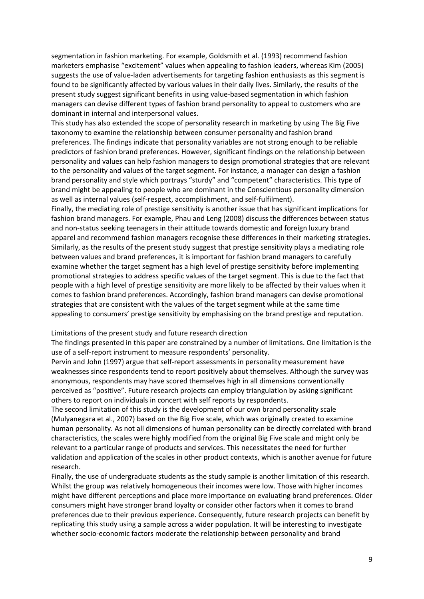segmentation in fashion marketing. For example, Goldsmith et al. (1993) recommend fashion marketers emphasise "excitement" values when appealing to fashion leaders, whereas Kim (2005) suggests the use of value‐laden advertisements for targeting fashion enthusiasts as this segment is found to be significantly affected by various values in their daily lives. Similarly, the results of the present study suggest significant benefits in using value‐based segmentation in which fashion managers can devise different types of fashion brand personality to appeal to customers who are dominant in internal and interpersonal values.

This study has also extended the scope of personality research in marketing by using The Big Five taxonomy to examine the relationship between consumer personality and fashion brand preferences. The findings indicate that personality variables are not strong enough to be reliable predictors of fashion brand preferences. However, significant findings on the relationship between personality and values can help fashion managers to design promotional strategies that are relevant to the personality and values of the target segment. For instance, a manager can design a fashion brand personality and style which portrays "sturdy" and "competent" characteristics. This type of brand might be appealing to people who are dominant in the Conscientious personality dimension as well as internal values (self‐respect, accomplishment, and self‐fulfilment).

Finally, the mediating role of prestige sensitivity is another issue that has significant implications for fashion brand managers. For example, Phau and Leng (2008) discuss the differences between status and non‐status seeking teenagers in their attitude towards domestic and foreign luxury brand apparel and recommend fashion managers recognise these differences in their marketing strategies. Similarly, as the results of the present study suggest that prestige sensitivity plays a mediating role between values and brand preferences, it is important for fashion brand managers to carefully examine whether the target segment has a high level of prestige sensitivity before implementing promotional strategies to address specific values of the target segment. This is due to the fact that people with a high level of prestige sensitivity are more likely to be affected by their values when it comes to fashion brand preferences. Accordingly, fashion brand managers can devise promotional strategies that are consistent with the values of the target segment while at the same time appealing to consumers' prestige sensitivity by emphasising on the brand prestige and reputation.

#### Limitations of the present study and future research direction

The findings presented in this paper are constrained by a number of limitations. One limitation is the use of a self‐report instrument to measure respondents' personality.

Pervin and John (1997) argue that self‐report assessments in personality measurement have weaknesses since respondents tend to report positively about themselves. Although the survey was anonymous, respondents may have scored themselves high in all dimensions conventionally perceived as "positive". Future research projects can employ triangulation by asking significant others to report on individuals in concert with self reports by respondents.

The second limitation of this study is the development of our own brand personality scale (Mulyanegara et al., 2007) based on the Big Five scale, which was originally created to examine human personality. As not all dimensions of human personality can be directly correlated with brand characteristics, the scales were highly modified from the original Big Five scale and might only be relevant to a particular range of products and services. This necessitates the need for further validation and application of the scales in other product contexts, which is another avenue for future research.

Finally, the use of undergraduate students as the study sample is another limitation of this research. Whilst the group was relatively homogeneous their incomes were low. Those with higher incomes might have different perceptions and place more importance on evaluating brand preferences. Older consumers might have stronger brand loyalty or consider other factors when it comes to brand preferences due to their previous experience. Consequently, future research projects can benefit by replicating this study using a sample across a wider population. It will be interesting to investigate whether socio‐economic factors moderate the relationship between personality and brand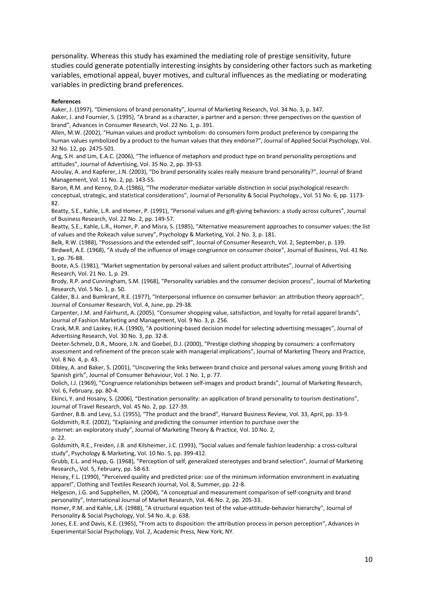personality. Whereas this study has examined the mediating role of prestige sensitivity, future studies could generate potentially interesting insights by considering other factors such as marketing variables, emotional appeal, buyer motives, and cultural influences as the mediating or moderating variables in predicting brand preferences.

#### **References**

Aaker, J. (1997), "Dimensions of brand personality", Journal of Marketing Research, Vol. 34 No. 3, p. 347. Aaker, J. and Fournier, S. (1995), "A brand as a character, a partner and a person: three perspectives on the question of brand", Advances in Consumer Research, Vol. 22 No. 1, p. 391.

Allen, M.W. (2002), "Human values and product symbolism: do consumers form product preference by comparing the human values symbolized by a product to the human values that they endorse?", Journal of Applied Social Psychology, Vol. 32 No. 12, pp. 2475‐501.

Ang, S.H. and Lim, E.A.C. (2006), "The influence of metaphors and product type on brand personality perceptions and attitudes", Journal of Advertising, Vol. 35 No. 2, pp. 39‐53.

Azoulay, A. and Kapferer, J.N. (2003), "Do brand personality scales really measure brand personality?", Journal of Brand Management, Vol. 11 No. 2, pp. 143‐55.

Baron, R.M. and Kenny, D.A. (1986), "The moderator-mediator variable distinction in social psychological research: conceptual, strategic, and statistical considerations", Journal of Personality & Social Psychology., Vol. 51 No. 6, pp. 1173‐ 82.

Beatty, S.E., Kahle, L.R. and Homer, P. (1991), "Personal values and gift‐giving behaviors: a study across cultures", Journal of Business Research, Vol. 22 No. 2, pp. 149‐57.

Beatty, S.E., Kahle, L.R., Homer, P. and Misra, S. (1985), "Alternative measurement approaches to consumer values: the list of values and the Rokeach value survey", Psychology & Marketing, Vol. 2 No. 3, p. 181.

Belk, R.W. (1988), "Possessions and the extended self", Journal of Consumer Research, Vol. 2, September, p. 139. Birdwell, A.E. (1968), "A study of the influence of image congruence on consumer choice", Journal of Business, Vol. 41 No. 1, pp. 76‐88.

Boote, A.S. (1981), "Market segmentation by personal values and salient product attributes", Journal of Advertising Research, Vol. 21 No. 1, p. 29.

Brody, R.P. and Cunningham, S.M. (1968), "Personality variables and the consumer decision process", Journal of Marketing Research, Vol. 5 No. 1, p. 50.

Calder, B.J. and Bumkrant, R.E. (1977), "Interpersonal influence on consumer behavior: an attribution theory approach", Journal of Consumer Research, Vol. 4, June, pp. 29‐38.

Carpenter, J.M. and Fairhurst, A. (2005), "Consumer shopping value, satisfaction, and loyalty for retail apparel brands", Journal of Fashion Marketing and Management, Vol. 9 No. 3, p. 256.

Crask, M.R. and Laskey, H.A. (1990), "A positioning‐based decision model for selecting advertising messages", Journal of Advertising Research, Vol. 30 No. 3, pp. 32‐8.

Deeter‐Schmelz, D.R., Moore, J.N. and Goebel, D.J. (2000), "Prestige clothing shopping by consumers: a confirmatory assessment and refinement of the precon scale with managerial implications", Journal of Marketing Theory and Practice, Vol. 8 No. 4, p. 43.

Dibley, A. and Baker, S. (2001), "Uncovering the links between brand choice and personal values among young British and Spanish girls", Journal of Consumer Behaviour, Vol. 1 No. 1, p. 77.

Dolich, I.J. (1969), "Congruence relationships between self-images and product brands", Journal of Marketing Research, Vol. 6, February, pp. 80‐4.

Ekinci, Y. and Hosany, S. (2006), "Destination personality: an application of brand personality to tourism destinations", Journal of Travel Research, Vol. 45 No. 2, pp. 127‐39.

Gardner, B.B. and Levy, S.J. (1955), "The product and the brand", Harvard Business Review, Vol. 33, April, pp. 33‐9. Goldsmith, R.E. (2002), "Explaining and predicting the consumer intention to purchase over the

internet: an exploratory study", Journal of Marketing Theory & Practice, Vol. 10 No. 2, p. 22.

Goldsmith, R.E., Freiden, J.B. and Kilsheimer, J.C. (1993), "Social values and female fashion leadership: a cross‐cultural study", Psychology & Marketing, Vol. 10 No. 5, pp. 399‐412.

Grubb, E.L. and Hupp, G. (1968), "Perception of self, generalized stereotypes and brand selection", Journal of Marketing Research,, Vol. 5, February, pp. 58‐63.

Heisey, F.L. (1990), "Perceived quality and predicted price: use of the minimum information environment in evaluating apparel", Clothing and Textiles Research Journal, Vol. 8, Summer, pp. 22‐8.

Helgeson, J.G. and Supphellen, M. (2004), "A conceptual and measurement comparison of self‐congruity and brand personality", International Journal of Market Research, Vol. 46 No. 2, pp. 205‐33.

Homer, P.M. and Kahle, L.R. (1988), "A structural equation test of the value-attitude-behavior hierarchy", Journal of Personality & Social Psychology, Vol. 54 No. 4, p. 638.

Jones, E.E. and Davis, K.E. (1965), "From acts to disposition: the attribution process in person perception", Advances in Experimental Social Psychology, Vol. 2, Academic Press, New York, NY.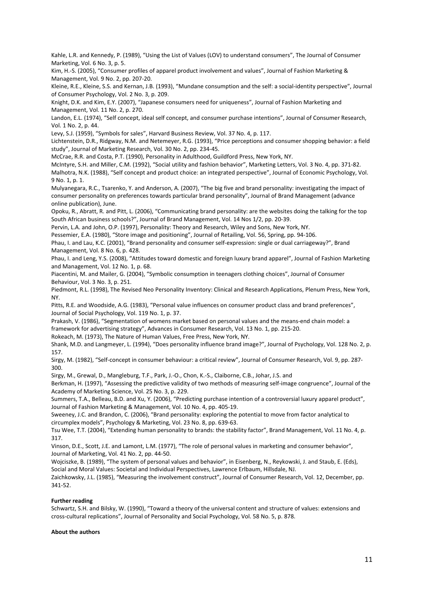Kahle, L.R. and Kennedy, P. (1989), "Using the List of Values (LOV) to understand consumers", The Journal of Consumer Marketing, Vol. 6 No. 3, p. 5.

Kim, H.‐S. (2005), "Consumer profiles of apparel product involvement and values", Journal of Fashion Marketing & Management, Vol. 9 No. 2, pp. 207‐20.

Kleine, R.E., Kleine, S.S. and Kernan, J.B. (1993), "Mundane consumption and the self: a social‐identity perspective", Journal of Consumer Psychology, Vol. 2 No. 3, p. 209.

Knight, D.K. and Kim, E.Y. (2007), "Japanese consumers need for uniqueness", Journal of Fashion Marketing and Management, Vol. 11 No. 2, p. 270.

Landon, E.L. (1974), "Self concept, ideal self concept, and consumer purchase intentions", Journal of Consumer Research, Vol. 1 No. 2, p. 44.

Levy, S.J. (1959), "Symbols for sales", Harvard Business Review, Vol. 37 No. 4, p. 117.

Lichtenstein, D.R., Ridgway, N.M. and Netemeyer, R.G. (1993), "Price perceptions and consumer shopping behavior: a field study", Journal of Marketing Research, Vol. 30 No. 2, pp. 234‐45.

McCrae, R.R. and Costa, P.T. (1990), Personality in Adulthood, Guildford Press, New York, NY.

McIntyre, S.H. and Miller, C.M. (1992), "Social utility and fashion behavior", Marketing Letters, Vol. 3 No. 4, pp. 371‐82. Malhotra, N.K. (1988), "Self concept and product choice: an integrated perspective", Journal of Economic Psychology, Vol. 9 No. 1, p. 1.

Mulyanegara, R.C., Tsarenko, Y. and Anderson, A. (2007), "The big five and brand personality: investigating the impact of consumer personality on preferences towards particular brand personality", Journal of Brand Management (advance online publication), June.

Opoku, R., Abratt, R. and Pitt, L. (2006), "Communicating brand personality: are the websites doing the talking for the top South African business schools?", Journal of Brand Management, Vol. 14 Nos 1/2, pp. 20‐39.

Pervin, L.A. and John, O.P. (1997), Personality: Theory and Research, Wiley and Sons, New York, NY.

Pessemier, E.A. (1980), "Store image and positioning", Journal of Retailing, Vol. 56, Spring, pp. 94‐106.

Phau, I. and Lau, K.C. (2001), "Brand personality and consumer self‐expression: single or dual carriageway?", Brand Management, Vol. 8 No. 6, p. 428.

Phau, I. and Leng, Y.S. (2008), "Attitudes toward domestic and foreign luxury brand apparel", Journal of Fashion Marketing and Management, Vol. 12 No. 1, p. 68.

Piacentini, M. and Mailer, G. (2004), "Symbolic consumption in teenagers clothing choices", Journal of Consumer Behaviour, Vol. 3 No. 3, p. 251.

Piedmont, R.L. (1998), The Revised Neo Personality Inventory: Clinical and Research Applications, Plenum Press, New York, NY.

Pitts, R.E. and Woodside, A.G. (1983), "Personal value influences on consumer product class and brand preferences", Journal of Social Psychology, Vol. 119 No. 1, p. 37.

Prakash, V. (1986), "Segmentation of womens market based on personal values and the means‐end chain model: a framework for advertising strategy", Advances in Consumer Research, Vol. 13 No. 1, pp. 215‐20.

Rokeach, M. (1973), The Nature of Human Values, Free Press, New York, NY.

Shank, M.D. and Langmeyer, L. (1994), "Does personality influence brand image?", Journal of Psychology, Vol. 128 No. 2, p. 157.

Sirgy, M. (1982), "Self‐concept in consumer behaviour: a critical review", Journal of Consumer Research, Vol. 9, pp. 287‐ 300.

Sirgy, M., Grewal, D., Mangleburg, T.F., Park, J.‐O., Chon, K.‐S., Claiborne, C.B., Johar, J.S. and

Berkman, H. (1997), "Assessing the predictive validity of two methods of measuring self-image congruence", Journal of the Academy of Marketing Science, Vol. 25 No. 3, p. 229.

Summers, T.A., Belleau, B.D. and Xu, Y. (2006), "Predicting purchase intention of a controversial luxury apparel product", Journal of Fashion Marketing & Management, Vol. 10 No. 4, pp. 405‐19.

Sweeney, J.C. and Brandon, C. (2006), "Brand personality: exploring the potential to move from factor analytical to circumplex models", Psychology & Marketing, Vol. 23 No. 8, pp. 639‐63.

Tsu Wee, T.T. (2004), "Extending human personality to brands: the stability factor", Brand Management, Vol. 11 No. 4, p. 317.

Vinson, D.E., Scott, J.E. and Lamont, L.M. (1977), "The role of personal values in marketing and consumer behavior", Journal of Marketing, Vol. 41 No. 2, pp. 44‐50.

Wojciszke, B. (1989), "The system of personal values and behavior", in Eisenberg, N., Reykowski, J. and Staub, E. (Eds), Social and Moral Values: Societal and Individual Perspectives, Lawrence Erlbaum, Hillsdale, NJ.

Zaichkowsky, J.L. (1985), "Measuring the involvement construct", Journal of Consumer Research, Vol. 12, December, pp. 341‐52.

#### **Further reading**

Schwartz, S.H. and Bilsky, W. (1990), "Toward a theory of the universal content and structure of values: extensions and cross‐cultural replications", Journal of Personality and Social Psychology, Vol. 58 No. 5, p. 878.

#### **About the authors**